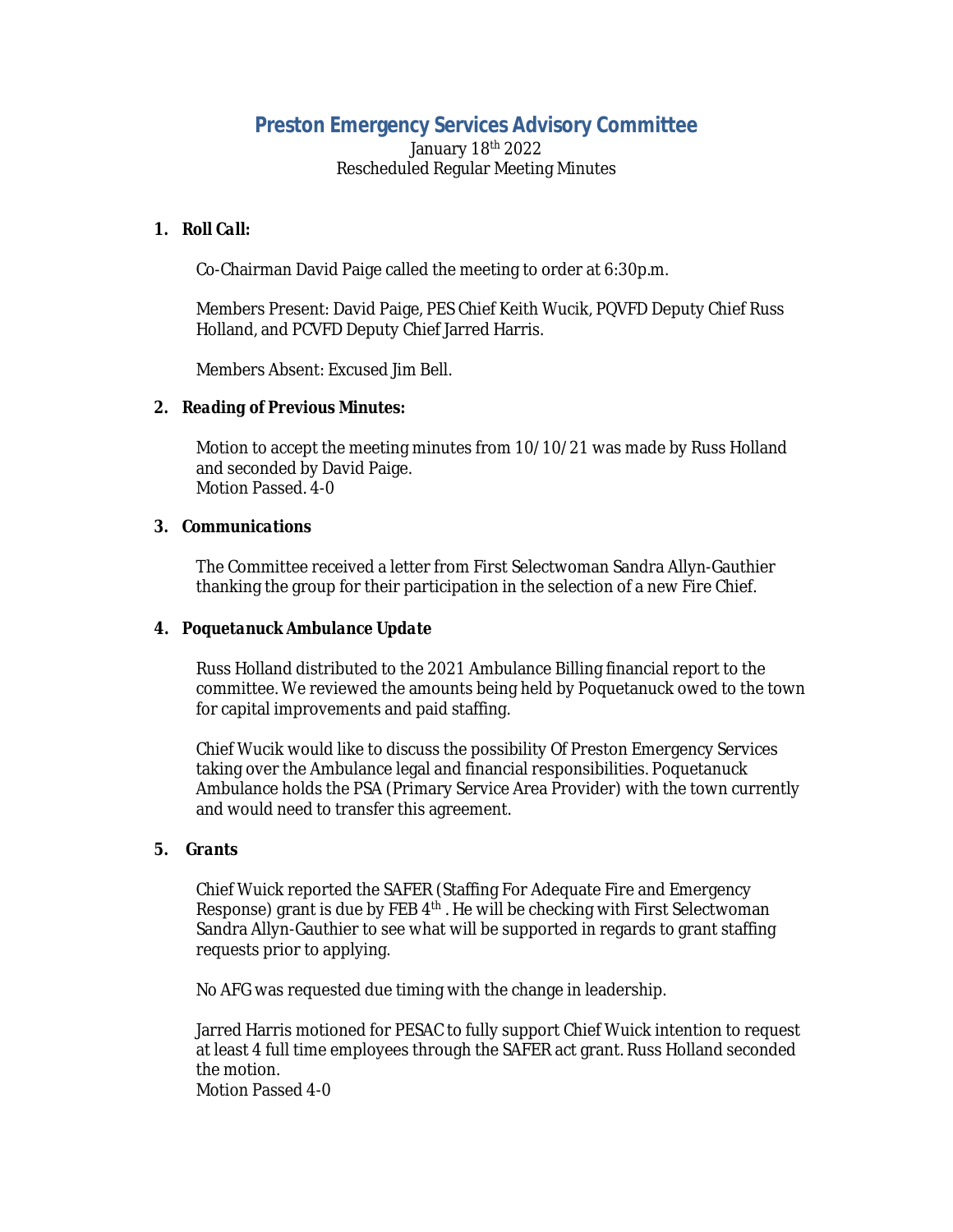# **Preston Emergency Services Advisory Committee**

January 18th 2022 Rescheduled Regular Meeting Minutes

## *1. Roll Call:*

Co-Chairman David Paige called the meeting to order at 6:30p.m.

Members Present: David Paige, PES Chief Keith Wucik, PQVFD Deputy Chief Russ Holland, and PCVFD Deputy Chief Jarred Harris.

Members Absent: Excused Jim Bell.

## *2. Reading of Previous Minutes:*

Motion to accept the meeting minutes from 10/10/21 was made by Russ Holland and seconded by David Paige. Motion Passed. 4-0

#### *3. Communications*

The Committee received a letter from First Selectwoman Sandra Allyn-Gauthier thanking the group for their participation in the selection of a new Fire Chief.

## **4.** *Poquetanuck Ambulance Update*

Russ Holland distributed to the 2021 Ambulance Billing financial report to the committee. We reviewed the amounts being held by Poquetanuck owed to the town for capital improvements and paid staffing.

Chief Wucik would like to discuss the possibility Of Preston Emergency Services taking over the Ambulance legal and financial responsibilities. Poquetanuck Ambulance holds the PSA (Primary Service Area Provider) with the town currently and would need to transfer this agreement.

#### *5. Grants*

Chief Wuick reported the SAFER (Staffing For Adequate Fire and Emergency Response) grant is due by FEB 4<sup>th</sup>. He will be checking with First Selectwoman Sandra Allyn-Gauthier to see what will be supported in regards to grant staffing requests prior to applying.

No AFG was requested due timing with the change in leadership.

Jarred Harris motioned for PESAC to fully support Chief Wuick intention to request at least 4 full time employees through the SAFER act grant. Russ Holland seconded the motion.

Motion Passed 4-0